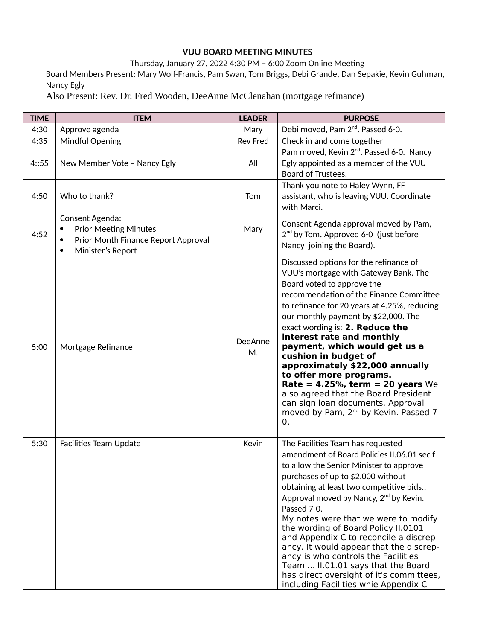## **VUU BOARD MEETING MINUTES**

Thursday, January 27, 2022 4:30 PM – 6:00 Zoom Online Meeting

Board Members Present: Mary Wolf-Francis, Pam Swan, Tom Briggs, Debi Grande, Dan Sepakie, Kevin Guhman, Nancy Egly

Also Present: Rev. Dr. Fred Wooden, DeeAnne McClenahan (mortgage refinance)

| <b>TIME</b> | <b>ITEM</b>                                                                                                 | <b>LEADER</b>   | <b>PURPOSE</b>                                                                                                                                                                                                                                                                                                                                                                                                                                                                                                                                                                                                          |
|-------------|-------------------------------------------------------------------------------------------------------------|-----------------|-------------------------------------------------------------------------------------------------------------------------------------------------------------------------------------------------------------------------------------------------------------------------------------------------------------------------------------------------------------------------------------------------------------------------------------------------------------------------------------------------------------------------------------------------------------------------------------------------------------------------|
| 4:30        | Approve agenda                                                                                              | Mary            | Debi moved, Pam 2 <sup>nd</sup> . Passed 6-0.                                                                                                                                                                                                                                                                                                                                                                                                                                                                                                                                                                           |
| 4:35        | <b>Mindful Opening</b>                                                                                      | <b>Rev Fred</b> | Check in and come together                                                                                                                                                                                                                                                                                                                                                                                                                                                                                                                                                                                              |
| 4:55        | New Member Vote - Nancy Egly                                                                                | All             | Pam moved, Kevin 2 <sup>nd</sup> . Passed 6-0. Nancy<br>Egly appointed as a member of the VUU<br>Board of Trustees.                                                                                                                                                                                                                                                                                                                                                                                                                                                                                                     |
| 4:50        | Who to thank?                                                                                               | Tom             | Thank you note to Haley Wynn, FF<br>assistant, who is leaving VUU. Coordinate<br>with Marci.                                                                                                                                                                                                                                                                                                                                                                                                                                                                                                                            |
| 4:52        | Consent Agenda:<br><b>Prior Meeting Minutes</b><br>Prior Month Finance Report Approval<br>Minister's Report | Mary            | Consent Agenda approval moved by Pam,<br>$2^{nd}$ by Tom. Approved 6-0 (just before<br>Nancy joining the Board).                                                                                                                                                                                                                                                                                                                                                                                                                                                                                                        |
| 5:00        | Mortgage Refinance                                                                                          | DeeAnne<br>M.   | Discussed options for the refinance of<br>VUU's mortgage with Gateway Bank. The<br>Board voted to approve the<br>recommendation of the Finance Committee<br>to refinance for 20 years at 4.25%, reducing<br>our monthly payment by \$22,000. The<br>exact wording is: 2. Reduce the<br>interest rate and monthly<br>payment, which would get us a<br>cushion in budget of<br>approximately \$22,000 annually<br>to offer more programs.<br>Rate = $4.25\%$ , term = 20 years We<br>also agreed that the Board President<br>can sign loan documents. Approval<br>moved by Pam, 2 <sup>nd</sup> by Kevin. Passed 7-<br>0. |
| 5:30        | <b>Facilities Team Update</b>                                                                               | Kevin           | The Facilities Team has requested<br>amendment of Board Policies II.06.01 sec f<br>to allow the Senior Minister to approve<br>purchases of up to \$2,000 without<br>obtaining at least two competitive bids<br>Approval moved by Nancy, 2 <sup>nd</sup> by Kevin.<br>Passed 7-0.<br>My notes were that we were to modify<br>the wording of Board Policy II.0101<br>and Appendix C to reconcile a discrep-<br>ancy. It would appear that the discrep-<br>ancy is who controls the Facilities<br>Team II.01.01 says that the Board<br>has direct oversight of it's committees,<br>including Facilities whie Appendix C    |